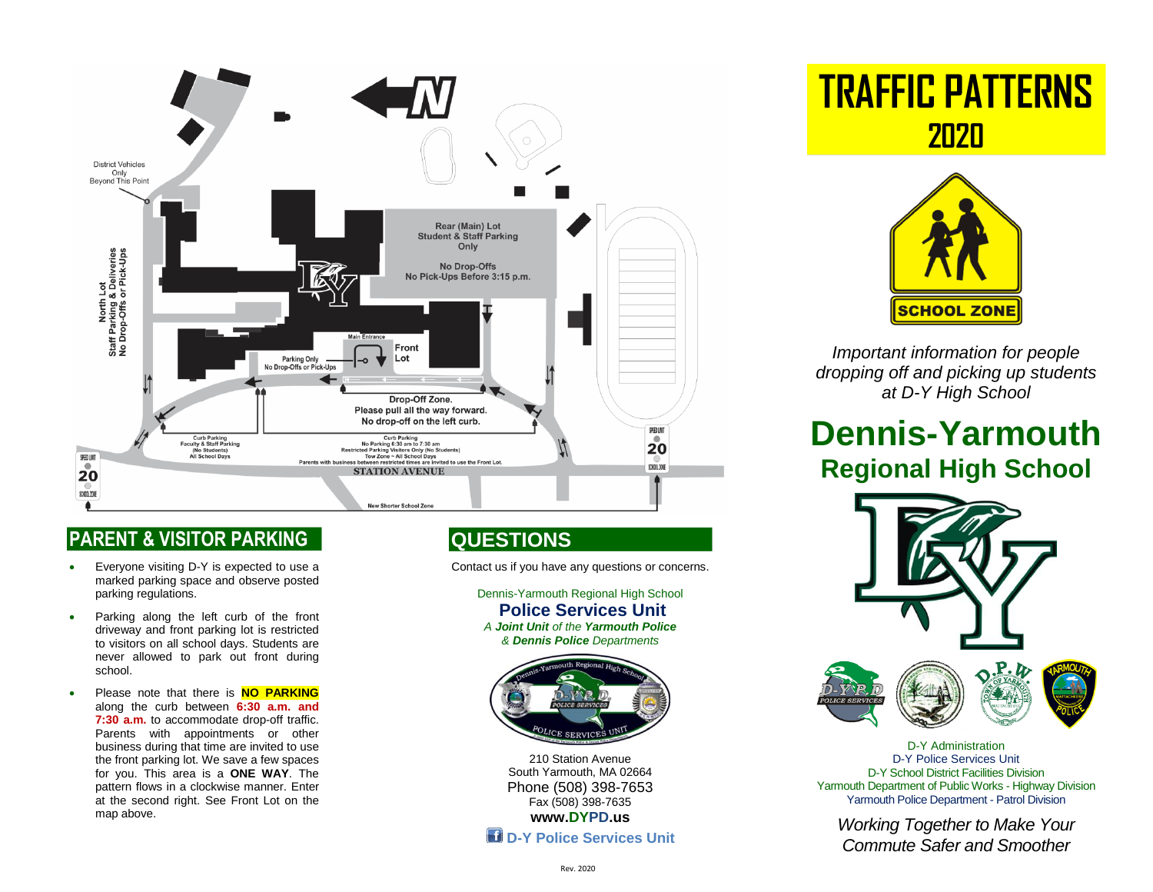

### **PARENT & VISITOR PARKING**

- Everyone visiting D-Y is expected to use a marked parking space and observe posted parking regulations.
- Parking along the left curb of the front driveway and front parking lot is restricted to visitors on all school days. Students are never allowed to park out front during school.
- **Please note that there is NO PARKING** along the curb between **6:30 a.m. and 7:30 a.m.** to accommodate drop-off traffic. Parents with appointments or other business during that time are invited to use the front parking lot. We save a few spaces for you. This area is a **ONE WAY**. The pattern flows in a clockwise manner. Enter at the second right. See Front Lot on the map above.

## **QUESTIONS**

Contact us if you have any questions or concerns.

Dennis-Yarmouth Regional High School **Police Services Unit** *A Joint Unit of the Yarmouth Police & Dennis Police Departments*



210 Station Avenue South Yarmouth, MA 02664 Phone (508) 398-7653 Fax (508) 398-7635 **[www.DYPD.us](http://www.dypd.us/)** 

**D-Y Police Services Unit** 

**TRAFFIC PATTERNS 2020**



*Important information for people dropping off and picking up students at D-Y High School* 

# **Dennis-Yarmouth Regional High School**



D-Y Administration D-Y Police Services Unit D-Y School District Facilities Division Yarmouth Department of Public Works - Highway Division Yarmouth Police Department - Patrol Division

*Working Together to Make Your Commute Safer and Smoother*